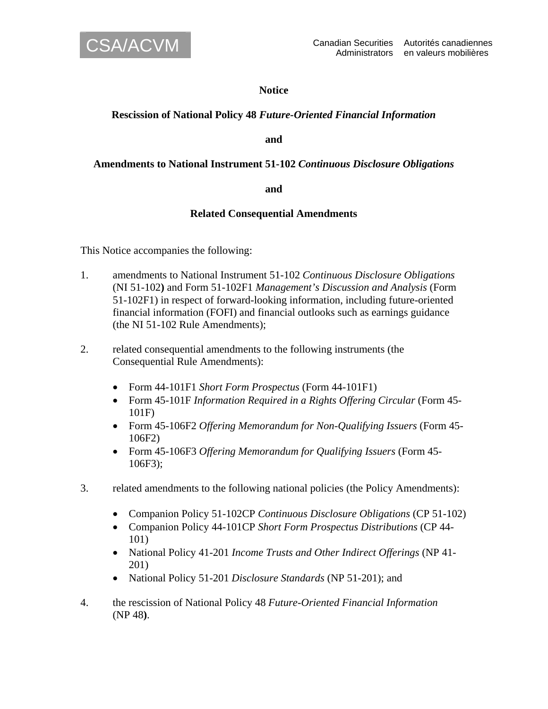

## **Notice**

# **Rescission of National Policy 48** *Future-Oriented Financial Information*

**and** 

## **Amendments to National Instrument 51-102** *Continuous Disclosure Obligations*

#### **and**

## **Related Consequential Amendments**

This Notice accompanies the following:

- 1. amendments to National Instrument 51-102 *Continuous Disclosure Obligations*  (NI 51-102**)** and Form 51-102F1 *Management's Discussion and Analysis* (Form 51-102F1) in respect of forward-looking information, including future-oriented financial information (FOFI) and financial outlooks such as earnings guidance (the NI 51-102 Rule Amendments);
- 2. related consequential amendments to the following instruments (the Consequential Rule Amendments):
	- Form 44-101F1 *Short Form Prospectus* (Form 44-101F1)
	- Form 45-101F *Information Required in a Rights Offering Circular* (Form 45- 101F)
	- Form 45-106F2 *Offering Memorandum for Non-Qualifying Issuers* (Form 45- 106F2)
	- Form 45-106F3 *Offering Memorandum for Qualifying Issuers* (Form 45- 106F3);
- 3. related amendments to the following national policies (the Policy Amendments):
	- Companion Policy 51-102CP *Continuous Disclosure Obligations* (CP 51-102)
	- Companion Policy 44-101CP *Short Form Prospectus Distributions* (CP 44- 101)
	- National Policy 41-201 *Income Trusts and Other Indirect Offerings* (NP 41- 201)
	- National Policy 51-201 *Disclosure Standards* (NP 51-201); and
- 4. the rescission of National Policy 48 *Future-Oriented Financial Information*  (NP 48**)**.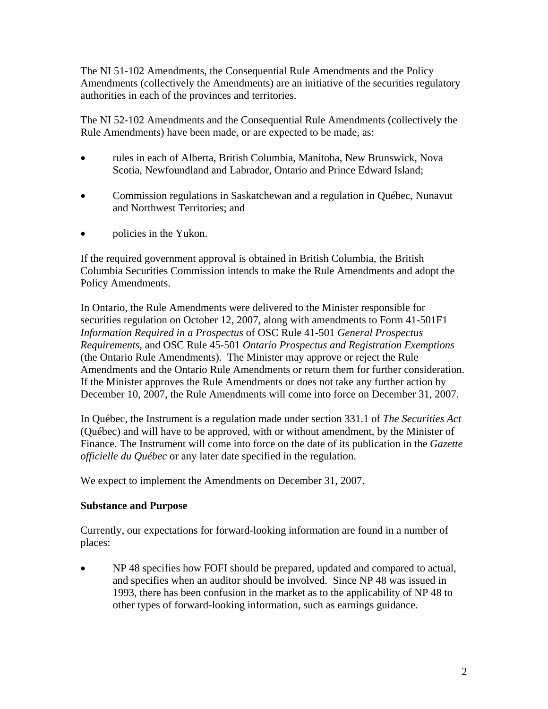The NI 51-102 Amendments, the Consequential Rule Amendments and the Policy Amendments (collectively the Amendments) are an initiative of the securities regulatory authorities in each of the provinces and territories.

The NI 52-102 Amendments and the Consequential Rule Amendments (collectively the Rule Amendments) have been made, or are expected to be made, as:

- rules in each of Alberta, British Columbia, Manitoba, New Brunswick, Nova Scotia, Newfoundland and Labrador, Ontario and Prince Edward Island;
- Commission regulations in Saskatchewan and a regulation in Québec, Nunavut and Northwest Territories; and
- policies in the Yukon.

If the required government approval is obtained in British Columbia, the British Columbia Securities Commission intends to make the Rule Amendments and adopt the Policy Amendments.

In Ontario, the Rule Amendments were delivered to the Minister responsible for securities regulation on October 12, 2007, along with amendments to Form 41-501F1 *Information Required in a Prospectus* of OSC Rule 41-501 *General Prospectus Requirements*, and OSC Rule 45-501 *Ontario Prospectus and Registration Exemptions*  (the Ontario Rule Amendments). The Minister may approve or reject the Rule Amendments and the Ontario Rule Amendments or return them for further consideration. If the Minister approves the Rule Amendments or does not take any further action by December 10, 2007, the Rule Amendments will come into force on December 31, 2007.

In Québec, the Instrument is a regulation made under section 331.1 of *The Securities Act*  (Québec) and will have to be approved, with or without amendment, by the Minister of Finance. The Instrument will come into force on the date of its publication in the *Gazette officielle du Québec* or any later date specified in the regulation.

We expect to implement the Amendments on December 31, 2007.

# **Substance and Purpose**

Currently, our expectations for forward-looking information are found in a number of places:

• NP 48 specifies how FOFI should be prepared, updated and compared to actual, and specifies when an auditor should be involved. Since NP 48 was issued in 1993, there has been confusion in the market as to the applicability of NP 48 to other types of forward-looking information, such as earnings guidance.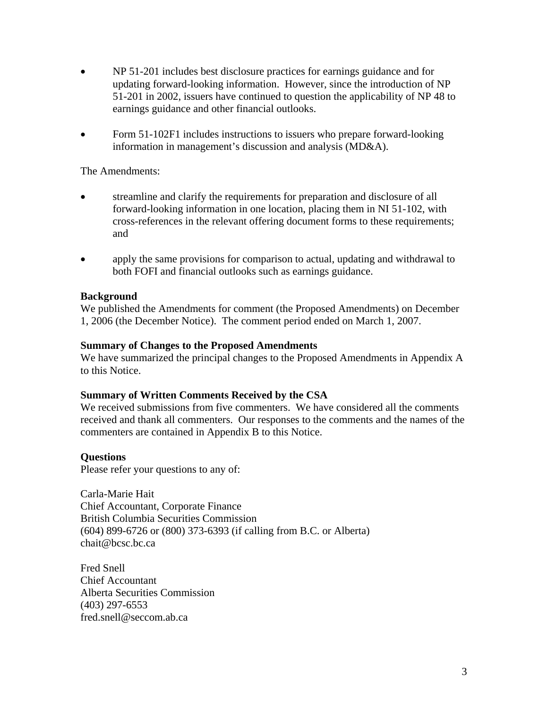- NP 51-201 includes best disclosure practices for earnings guidance and for updating forward-looking information. However, since the introduction of NP 51-201 in 2002, issuers have continued to question the applicability of NP 48 to earnings guidance and other financial outlooks.
- Form 51-102F1 includes instructions to issuers who prepare forward-looking information in management's discussion and analysis (MD&A).

The Amendments:

- streamline and clarify the requirements for preparation and disclosure of all forward-looking information in one location, placing them in NI 51-102, with cross-references in the relevant offering document forms to these requirements; and
- apply the same provisions for comparison to actual, updating and withdrawal to both FOFI and financial outlooks such as earnings guidance.

## **Background**

We published the Amendments for comment (the Proposed Amendments) on December 1, 2006 (the December Notice). The comment period ended on March 1, 2007.

### **Summary of Changes to the Proposed Amendments**

We have summarized the principal changes to the Proposed Amendments in Appendix A to this Notice.

#### **Summary of Written Comments Received by the CSA**

We received submissions from five commenters. We have considered all the comments received and thank all commenters. Our responses to the comments and the names of the commenters are contained in Appendix B to this Notice.

## **Questions**

Please refer your questions to any of:

Carla-Marie Hait Chief Accountant, Corporate Finance British Columbia Securities Commission (604) 899-6726 or (800) 373-6393 (if calling from B.C. or Alberta) chait@bcsc.bc.ca

Fred Snell Chief Accountant Alberta Securities Commission (403) 297-6553 fred.snell@seccom.ab.ca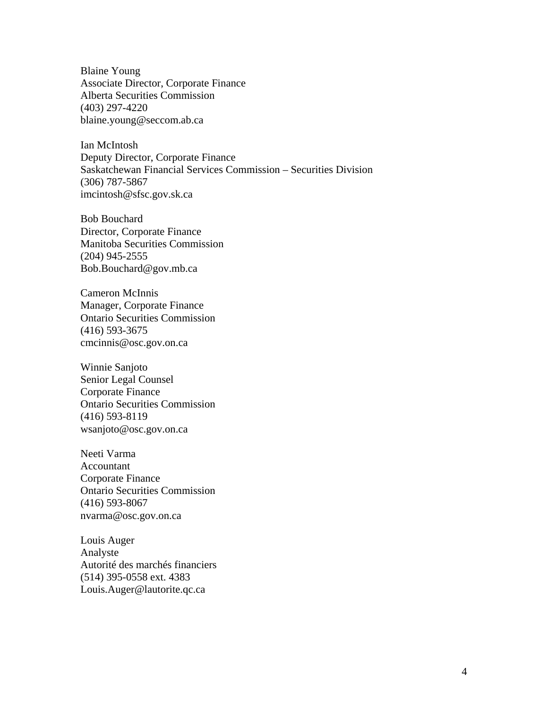Blaine Young Associate Director, Corporate Finance Alberta Securities Commission (403) 297-4220 blaine.young@seccom.ab.ca

Ian McIntosh Deputy Director, Corporate Finance Saskatchewan Financial Services Commission – Securities Division (306) 787-5867 imcintosh@sfsc.gov.sk.ca

Bob Bouchard Director, Corporate Finance Manitoba Securities Commission (204) 945-2555 Bob.Bouchard@gov.mb.ca

Cameron McInnis Manager, Corporate Finance Ontario Securities Commission (416) 593-3675 cmcinnis@osc.gov.on.ca

Winnie Sanjoto Senior Legal Counsel Corporate Finance Ontario Securities Commission (416) 593-8119 wsanjoto@osc.gov.on.ca

Neeti Varma Accountant Corporate Finance Ontario Securities Commission (416) 593-8067 nvarma@osc.gov.on.ca

Louis Auger Analyste Autorité des marchés financiers (514) 395-0558 ext. 4383 Louis.Auger@lautorite.qc.ca